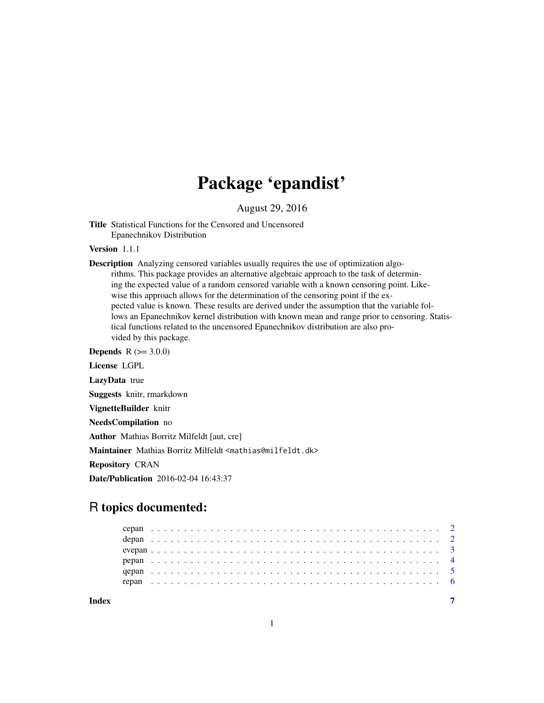# Package 'epandist'

August 29, 2016

Title Statistical Functions for the Censored and Uncensored Epanechnikov Distribution

Version 1.1.1

Description Analyzing censored variables usually requires the use of optimization algorithms. This package provides an alternative algebraic approach to the task of determining the expected value of a random censored variable with a known censoring point. Likewise this approach allows for the determination of the censoring point if the expected value is known. These results are derived under the assumption that the variable follows an Epanechnikov kernel distribution with known mean and range prior to censoring. Statistical functions related to the uncensored Epanechnikov distribution are also provided by this package.

**Depends** R  $(>= 3.0.0)$ License LGPL

LazyData true

Suggests knitr, rmarkdown

VignetteBuilder knitr

NeedsCompilation no

Author Mathias Borritz Milfeldt [aut, cre]

Maintainer Mathias Borritz Milfeldt <mathias@milfeldt.dk>

Repository CRAN

Date/Publication 2016-02-04 16:43:37

# R topics documented: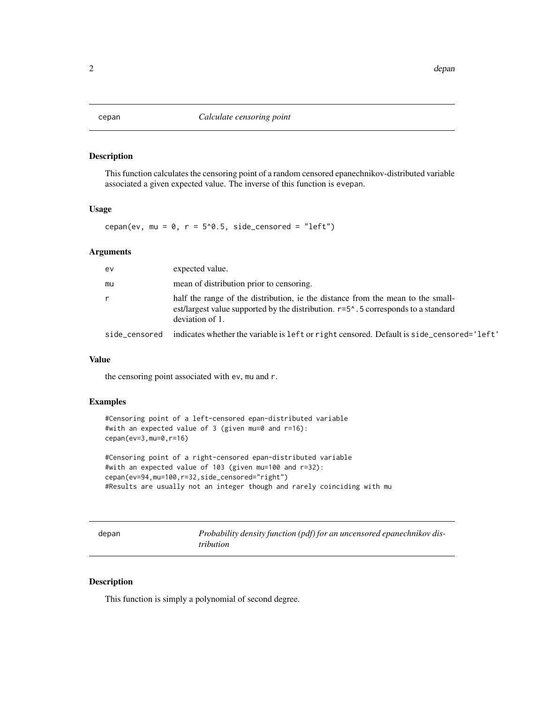<span id="page-1-0"></span>

# Description

This function calculates the censoring point of a random censored epanechnikov-distributed variable associated a given expected value. The inverse of this function is evepan.

# Usage

cepan(ev, mu =  $0$ , r =  $5^0.5$ , side\_censored = "left")

#### Arguments

| ev. | expected value.                                                                                                                                                                                    |
|-----|----------------------------------------------------------------------------------------------------------------------------------------------------------------------------------------------------|
| mu  | mean of distribution prior to censoring.                                                                                                                                                           |
|     | half the range of the distribution, ie the distance from the mean to the small-<br>est/largest value supported by the distribution. $r=5^{\circ}$ . 5 corresponds to a standard<br>deviation of 1. |
|     | side_censored indicates whether the variable is left or right censored. Default is side_censored='left'                                                                                            |

#### Value

the censoring point associated with ev, mu and r.

# Examples

```
#Censoring point of a left-censored epan-distributed variable
#with an expected value of 3 (given mu=0 and r=16):
cepan(ev=3,mu=0,r=16)
```

```
#Censoring point of a right-censored epan-distributed variable
#with an expected value of 103 (given mu=100 and r=32):
cepan(ev=94,mu=100,r=32,side_censored="right")
#Results are usually not an integer though and rarely coinciding with mu
```

| × |
|---|
|---|

Probability density function (pdf) for an uncensored epanechnikov dis*tribution*

## Description

This function is simply a polynomial of second degree.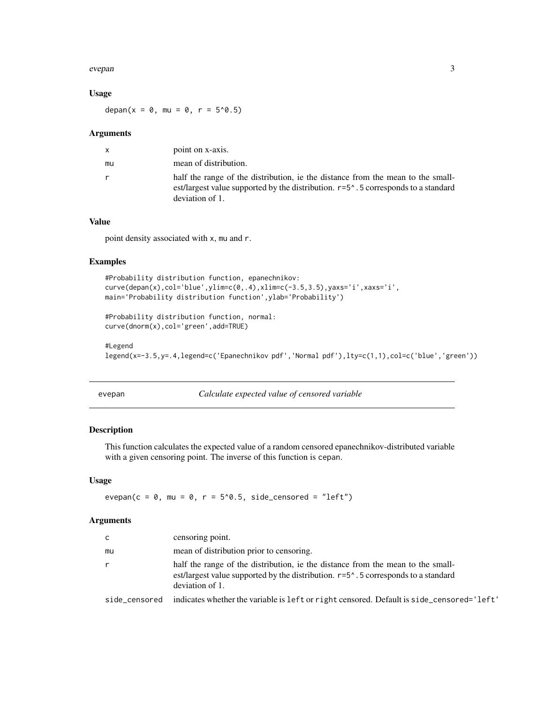#### <span id="page-2-0"></span>evepan 3

## Usage

depan(x = 0, mu = 0, r =  $5^0.5$ )

#### Arguments

|    | point on x-axis.                                                                                                                                                                                   |
|----|----------------------------------------------------------------------------------------------------------------------------------------------------------------------------------------------------|
| mu | mean of distribution.                                                                                                                                                                              |
|    | half the range of the distribution, ie the distance from the mean to the small-<br>est/largest value supported by the distribution. $r=5^{\circ}$ . 5 corresponds to a standard<br>deviation of 1. |

# Value

point density associated with x, mu and r.

# Examples

```
#Probability distribution function, epanechnikov:
curve(depan(x),col='blue',ylim=c(0,.4),xlim=c(-3.5,3.5),yaxs='i',xaxs='i',
main='Probability distribution function',ylab='Probability')
```

```
#Probability distribution function, normal:
curve(dnorm(x),col='green',add=TRUE)
```
#### #Legend

```
legend(x=-3.5,y=.4,legend=c('Epanechnikov pdf','Normal pdf'),lty=c(1,1),col=c('blue','green'))
```
evepan *Calculate expected value of censored variable*

# Description

This function calculates the expected value of a random censored epanechnikov-distributed variable with a given censoring point. The inverse of this function is cepan.

#### Usage

evepan(c =  $\theta$ , mu =  $\theta$ , r =  $5^{\circ}\theta.5$ , side\_censored = "left")

#### Arguments

| C             | censoring point.                                                                                                                                                                                   |
|---------------|----------------------------------------------------------------------------------------------------------------------------------------------------------------------------------------------------|
| mu            | mean of distribution prior to censoring.                                                                                                                                                           |
| $\mathsf{r}$  | half the range of the distribution, ie the distance from the mean to the small-<br>est/largest value supported by the distribution. $r=5^{\circ}$ . 5 corresponds to a standard<br>deviation of 1. |
| side censored | indicates whether the variable is 1 eft or right censored. Default is side censored='left'                                                                                                         |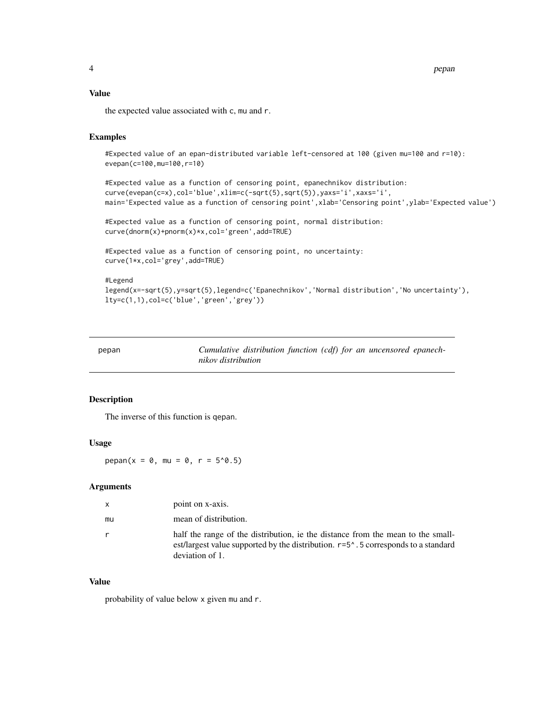<span id="page-3-0"></span>4 pepandulus sebagai kecamatan kecamatan penduduk kecamatan penduduk penduduk penduduk penduduk penduduk pendu

#### Value

the expected value associated with c, mu and r.

# Examples

```
#Expected value of an epan-distributed variable left-censored at 100 (given mu=100 and r=10):
evepan(c=100,mu=100,r=10)
```

```
#Expected value as a function of censoring point, epanechnikov distribution:
curve(evepan(c=x),col='blue',xlim=c(-sqrt(5),sqrt(5)),yaxs='i',xaxs='i',
main='Expected value as a function of censoring point',xlab='Censoring point',ylab='Expected value')
```

```
#Expected value as a function of censoring point, normal distribution:
curve(dnorm(x)+pnorm(x)*x,col='green',add=TRUE)
```

```
#Expected value as a function of censoring point, no uncertainty:
curve(1*x,col='grey',add=TRUE)
```

```
#Legend
legend(x=-sqrt(5),y=sqrt(5),legend=c('Epanechnikov','Normal distribution','No uncertainty'),
lty=c(1,1),col=c('blue','green','grey'))
```

| pepan | Cumulative distribution function (cdf) for an uncensored epanech- |
|-------|-------------------------------------------------------------------|
|       | nikov distribution                                                |

# Description

The inverse of this function is qepan.

#### Usage

 $pepan(x = 0, mu = 0, r = 5<sup>0</sup>.5)$ 

#### Arguments

| $\mathsf{x}$ | point on x-axis.                                                                                                                                                                                   |
|--------------|----------------------------------------------------------------------------------------------------------------------------------------------------------------------------------------------------|
| mu           | mean of distribution.                                                                                                                                                                              |
| $\mathsf{r}$ | half the range of the distribution, ie the distance from the mean to the small-<br>est/largest value supported by the distribution. $r=5^{\circ}$ . 5 corresponds to a standard<br>deviation of 1. |

## Value

probability of value below x given mu and r.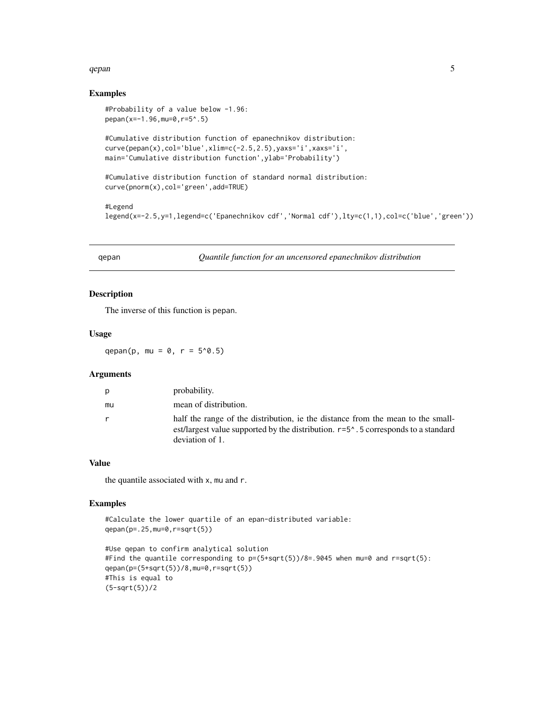#### <span id="page-4-0"></span>qepan 55 S

#### Examples

```
#Probability of a value below -1.96:
pepan(x=-1.96,mu=0,r=5^.5)
#Cumulative distribution function of epanechnikov distribution:
curve(pepan(x),col='blue',xlim=c(-2.5,2.5),yaxs='i',xaxs='i',
main='Cumulative distribution function',ylab='Probability')
#Cumulative distribution function of standard normal distribution:
curve(pnorm(x),col='green',add=TRUE)
#Legend
legend(x=-2.5,y=1,legend=c('Epanechnikov cdf','Normal cdf'),lty=c(1,1),col=c('blue','green'))
```
qepan *Quantile function for an uncensored epanechnikov distribution*

# Description

The inverse of this function is pepan.

#### Usage

qepan(p, mu =  $0, r = 5'0.5$ )

#### Arguments

| Ŋ  | probability.                                                                                                                                                                                                           |
|----|------------------------------------------------------------------------------------------------------------------------------------------------------------------------------------------------------------------------|
| mu | mean of distribution.                                                                                                                                                                                                  |
|    | half the range of the distribution, ie the distance from the mean to the small-<br>est/largest value supported by the distribution. r=5 <sup><math>\land</math></sup> . 5 corresponds to a standard<br>deviation of 1. |

# Value

the quantile associated with x, mu and r.

#### Examples

```
#Calculate the lower quartile of an epan-distributed variable:
qepan(p=.25,mu=0,r=sqrt(5))
#Use qepan to confirm analytical solution
```

```
#Find the quantile corresponding to p=(5+sqrt(5))/8=0.9045 when mu=0 and r=sqrt(5):
qepan(p=(5+sqrt(5))/8,mu=0,r=sqrt(5))
#This is equal to
(5-sqrt(5))/2
```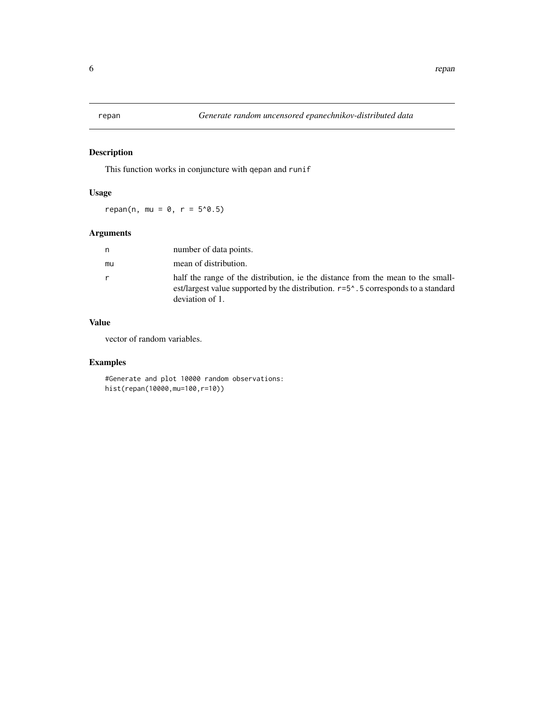<span id="page-5-0"></span>

# Description

This function works in conjuncture with qepan and runif

# Usage

 $repan(n, mu = 0, r = 5<sup>0</sup>.5)$ 

# Arguments

| n  | number of data points.                                                                                                                                                                             |
|----|----------------------------------------------------------------------------------------------------------------------------------------------------------------------------------------------------|
| mu | mean of distribution.                                                                                                                                                                              |
| r  | half the range of the distribution, ie the distance from the mean to the small-<br>est/largest value supported by the distribution. $r=5^{\circ}$ . 5 corresponds to a standard<br>deviation of 1. |

# Value

vector of random variables.

# Examples

#Generate and plot 10000 random observations: hist(repan(10000,mu=100,r=10))